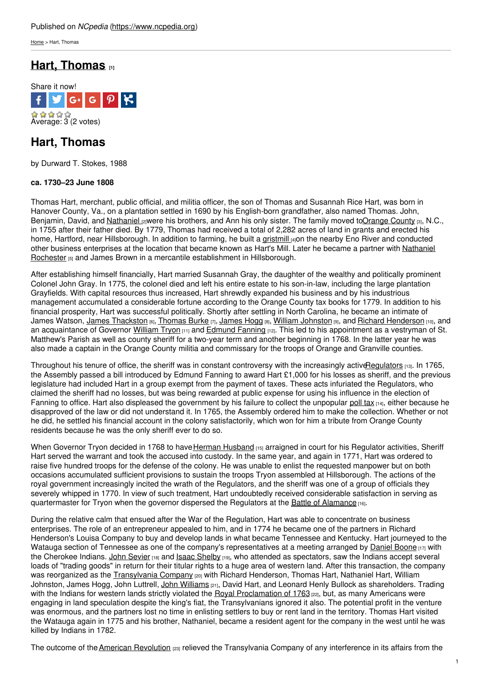[Home](https://www.ncpedia.org/) > Hart, Thomas

# **Hart, [Thomas](https://www.ncpedia.org/biography/hart-thomas) [1]**



## **Hart, Thomas**

by Durward T. Stokes, 1988

### **ca. 1730–23 June 1808**

Thomas Hart, merchant, public official, and militia officer, the son of Thomas and Susannah Rice Hart, was born in Hanover County, Va., on a plantation settled in 1690 by his English-born grandfather, also named Thomas. John, Benjamin, David, and [Nathaniel](https://www.ncpedia.org/biography/hart-nathaniel) <sub>[2]</sub>were his [brothers,](http://www.social9.com) and Ann his only sister. The family moved t[oOrange](https://www.ncpedia.org/geography/orange) County [3], N.C., in 1755 after their father died. By 1779, Thomas had received a total of 2,282 acres of land in grants and erected his home, Hartford, near Hillsborough. In addition to farming, he built a [gristmill](https://www.ncpedia.org/gristmills) [4]on the nearby Eno River and conducted other business enterprises at the location that became known as Hart's Mill. Later he became a partner with Nathaniel Rochester [5] and James Brown in a mercantile [establishment](https://www.ncpedia.org/biography/rochester-nathaniel) in Hillsborough.

After establishing himself financially, Hart married Susannah Gray, the daughter of the wealthy and politically prominent Colonel John Gray. In 1775, the colonel died and left his entire estate to his son-in-law, including the large plantation Grayfields. With capital resources thus increased, Hart shrewdly expanded his business and by his industrious management accumulated a considerable fortune according to the Orange County tax books for 1779. In addition to his financial prosperity, Hart was successful politically. Shortly after settling in North Carolina, he became an intimate of James Watson, James [Thackston](https://www.ncpedia.org/biography/thackston-james) [6], [Thomas](https://www.ncpedia.org/biography/burke-thomas) Burke [7], [James](https://www.ncpedia.org/biography/hogg-james) Hogg [8], William [Johnston](https://www.ncpedia.org/biography/johnston-william) [9], and Richard [Henderson](https://www.ncpedia.org/biography/henderson-richard) [10], and an acquaintance of Governor [William](https://www.ncpedia.org/biography/tryon-william) Tryon [11] and [Edmund](https://www.ncpedia.org/biography/fanning-edmund) Fanning [12]. This led to his appointment as a vestryman of St. Matthew's Parish as well as county sheriff for a two-year term and another beginning in 1768. In the latter year he was also made a captain in the Orange County militia and commissary for the troops of Orange and Granville counties.

Throughout his tenure of office, the sheriff was in constant controversy with the increasingly active Regulators [13]. In 1765, the Assembly passed a bill introduced by Edmund Fanning to award Hart £1,000 for his losses as sheriff, and the previous legislature had included Hart in a group exempt from the payment of taxes. These acts infuriated the Regulators, who claimed the sheriff had no losses, but was being rewarded at public expense for using his influence in the election of Fanning to office. Hart also displeased the government by his failure to collect the unpopular [poll](https://www.ncpedia.org/poll-tax) tax [14], either because he disapproved of the law or did not understand it. In 1765, the Assembly ordered him to make the collection. Whether or not he did, he settled his financial account in the colony satisfactorily, which won for him a tribute from Orange County residents because he was the only sheriff ever to do so.

When Governor Tryon decided in 1768 to have Herman [Husband](https://www.ncpedia.org/biography/husband-or-husbands) [15] arraigned in court for his Regulator activities, Sheriff Hart served the warrant and took the accused into custody. In the same year, and again in 1771, Hart was ordered to raise five hundred troops for the defense of the colony. He was unable to enlist the requested manpower but on both occasions accumulated sufficient provisions to sustain the troops Tryon assembled at Hillsborough. The actions of the royal government increasingly incited the wrath of the Regulators, and the sheriff was one of a group of officials they severely whipped in 1770. In view of such treatment, Hart undoubtedly received considerable satisfaction in serving as quartermaster for Tryon when the governor dispersed the Regulators at the Battle of [Alamance](https://www.ncpedia.org/alamance-battle) [16].

During the relative calm that ensued after the War of the Regulation, Hart was able to concentrate on business enterprises. The role of an entrepreneur appealed to him, and in 1774 he became one of the partners in Richard Henderson's Louisa Company to buy and develop lands in what became Tennessee and Kentucky. Hart journeyed to the Watauga section of Tennessee as one of the company's representatives at a meeting arranged by [Daniel](https://www.ncpedia.org/biography/boone-daniel) Boone [17] with the Cherokee Indians. John [Sevier](https://www.ncpedia.org/biography/sevier-john) [18] and Isaac [Shelby](https://www.ncpedia.org/biography/shelby-isaac) [19], who attended as spectators, saw the Indians accept several loads of "trading goods" in return for their titular rights to a huge area of western land. After this transaction, the company was reorganized as the [Transylvania](https://www.ncpedia.org/transylvania-company) Company <sub>[20]</sub> with Richard Henderson, Thomas Hart, Nathaniel Hart, William Johnston, James Hogg, John Luttrell, John [Williams](https://www.ncpedia.org/biography/williams-john) [21], David Hart, and Leonard Henly Bullock as shareholders. Trading with the Indians for western lands strictly violated the Royal [Proclamation](https://www.ncpedia.org/proclamation-1763) of 1763 [22], but, as many Americans were engaging in land speculation despite the king's fiat, the Transylvanians ignored it also. The potential profit in the venture was enormous, and the partners lost no time in enlisting settlers to buy or rent land in the territory. Thomas Hart visited the Watauga again in 1775 and his brother, Nathaniel, became a resident agent for the company in the west until he was killed by Indians in 1782.

The outcome of the American [Revolution](https://www.ncpedia.org/american-revolution) [23] relieved the Transylvania Company of any interference in its affairs from the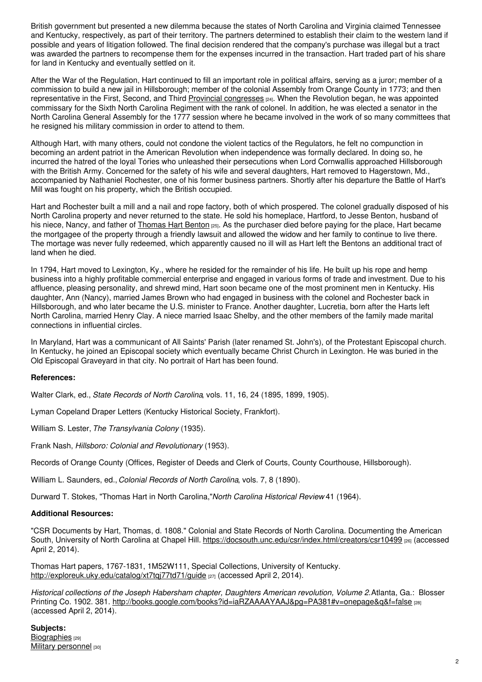British government but presented a new dilemma because the states of North Carolina and Virginia claimed Tennessee and Kentucky, respectively, as part of their territory. The partners determined to establish their claim to the western land if possible and years of litigation followed. The final decision rendered that the company's purchase was illegal but a tract was awarded the partners to recompense them for the expenses incurred in the transaction. Hart traded part of his share for land in Kentucky and eventually settled on it.

After the War of the Regulation, Hart continued to fill an important role in political affairs, serving as a juror; member of a commission to build a new jail in Hillsborough; member of the colonial Assembly from Orange County in 1773; and then representative in the First, Second, and Third Provincial [congresses](https://www.ncpedia.org/provincial-congresses) [24]. When the Revolution began, he was appointed commissary for the Sixth North Carolina Regiment with the rank of colonel. In addition, he was elected a senator in the North Carolina General Assembly for the 1777 session where he became involved in the work of so many committees that he resigned his military commission in order to attend to them.

Although Hart, with many others, could not condone the violent tactics of the Regulators, he felt no compunction in becoming an ardent patriot in the American Revolution when independence was formally declared. In doing so, he incurred the hatred of the loyal Tories who unleashed their persecutions when Lord Cornwallis approached Hillsborough with the British Army. Concerned for the safety of his wife and several daughters, Hart removed to Hagerstown, Md., accompanied by Nathaniel Rochester, one of his former business partners. Shortly after his departure the Battle of Hart's Mill was fought on his property, which the British occupied.

Hart and Rochester built a mill and a nail and rope factory, both of which prospered. The colonel gradually disposed of his North Carolina property and never returned to the state. He sold his homeplace, Hartford, to Jesse Benton, husband of his niece, Nancy, and father of [Thomas](https://www.ncpedia.org/biography/benton-thomas-hart) Hart Benton [25]. As the purchaser died before paying for the place, Hart became the mortgagee of the property through a friendly lawsuit and allowed the widow and her family to continue to live there. The mortage was never fully redeemed, which apparently caused no ill will as Hart left the Bentons an additional tract of land when he died.

In 1794, Hart moved to Lexington, Ky., where he resided for the remainder of his life. He built up his rope and hemp business into a highly profitable commercial enterprise and engaged in various forms of trade and investment. Due to his affluence, pleasing personality, and shrewd mind, Hart soon became one of the most prominent men in Kentucky. His daughter, Ann (Nancy), married James Brown who had engaged in business with the colonel and Rochester back in Hillsborough, and who later became the U.S. minister to France. Another daughter, Lucretia, born after the Harts left North Carolina, married Henry Clay. A niece married Isaac Shelby, and the other members of the family made marital connections in influential circles.

In Maryland, Hart was a communicant of All Saints' Parish (later renamed St. John's), of the Protestant Episcopal church. In Kentucky, he joined an Episcopal society which eventually became Christ Church in Lexington. He was buried in the Old Episcopal Graveyard in that city. No portrait of Hart has been found.

### **References:**

Walter Clark, ed., *State Records of North Carolina*, vols. 11, 16, 24 (1895, 1899, 1905).

Lyman Copeland Draper Letters (Kentucky Historical Society, Frankfort).

William S. Lester, *The Transylvania Colony* (1935).

Frank Nash, *Hillsboro: Colonial and Revolutionary* (1953).

Records of Orange County (Offices, Register of Deeds and Clerk of Courts, County Courthouse, Hillsborough).

William L. Saunders, ed., *Colonial Records of North Carolina*, vols. 7, 8 (1890).

Durward T. Stokes, "Thomas Hart in North Carolina,"*North Carolina Historical Review* 41 (1964).

#### **Additional Resources:**

"CSR Documents by Hart, Thomas, d. 1808." Colonial and State Records of North Carolina. Documenting the American South, University of North Carolina at Chapel Hill. <https://docsouth.unc.edu/csr/index.html/creators/csr10499> [26] (accessed April 2, 2014).

Thomas Hart papers, 1767-1831, 1M52W111, Special Collections, University of Kentucky. <http://exploreuk.uky.edu/catalog/xt7tqj77td71/guide> [27] (accessed April 2, 2014).

*Historical collections of the Joseph Habersham chapter, Daughters American revolution, Volume 2.*Atlanta, Ga.: Blosser Printing Co. 1902. 381. <http://books.google.com/books?id=iaRZAAAAYAAJ&pg=PA381#v=onepage&q&f=false> [28] (accessed April 2, 2014).

**Subjects:** [Biographies](https://www.ncpedia.org/category/subjects/biography-term) [29] Military [personnel](https://www.ncpedia.org/category/subjects/soldiers) [30]